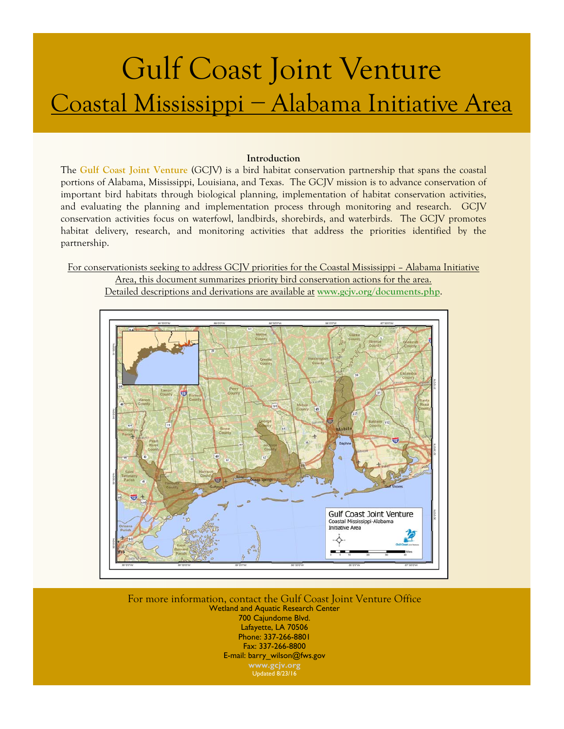# Gulf Coast Joint Venture Coastal Mississippi − Alabama Initiative Area

#### **Introduction**

The **[Gulf Coast Joint Venture](http://www.gcjv.org)** (GCJV) is a bird habitat conservation partnership that spans the coastal portions of Alabama, Mississippi, Louisiana, and Texas. The GCJV mission is to advance conservation of important bird habitats through biological planning, implementation of habitat conservation activities, and evaluating the planning and implementation process through monitoring and research. GCJV conservation activities focus on waterfowl, landbirds, shorebirds, and waterbirds. The GCJV promotes habitat delivery, research, and monitoring activities that address the priorities identified by the partnership.

For conservationists seeking to address GCJV priorities for the Coastal Mississippi – Alabama Initiative

Area, this document summarizes priority bird conservation actions for the area. Detailed descriptions and derivations are available at **[www.gcjv.org/documents.php](http://www.gcjv.org/documents.php)**.



For more information, contact the Gulf Coast Joint Venture Office Wetland and Aquatic Research Center 700 Cajundome Blvd. Lafayette, LA 70506 Phone: 337-266-8801 Fax: 337-266-8800 E-mail: barry\_wilson@fws.gov **[www.gcjv.org](http://www.gcjv.org)**  Updated 8/23/16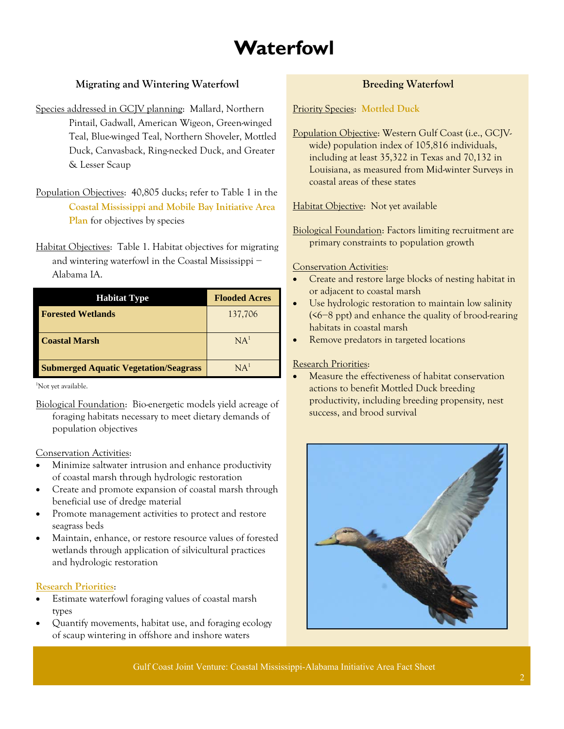# **Waterfowl**

## **Migrating and Wintering Waterfowl**

- Species addressed in GCJV planning: Mallard, Northern Pintail, Gadwall, American Wigeon, Green-winged Teal, Blue-winged Teal, Northern Shoveler, Mottled Duck, Canvasback, Ring-necked Duck, and Greater & Lesser Scaup
- Population Objectives: 40,805 ducks; refer to Table 1 in the **[Coastal Mississippi and Mobile Bay Initiative Area](http://www.gcjv.org/docs/CoastalMSpub.pdf)  Plan** for objectives by species
- Habitat Objectives: Table 1. Habitat objectives for migrating and wintering waterfowl in the Coastal Mississippi − Alabama IA.

| <b>Habitat Type</b>                          | <b>Flooded Acres</b> |
|----------------------------------------------|----------------------|
| <b>Forested Wetlands</b>                     | 137,706              |
| <b>Coastal Marsh</b>                         | NA <sup>1</sup>      |
| <b>Submerged Aquatic Vegetation/Seagrass</b> | NA <sup>1</sup>      |

1 Not yet available.

Biological Foundation: Bio-energetic models yield acreage of foraging habitats necessary to meet dietary demands of population objectives

#### Conservation Activities:

- Minimize saltwater intrusion and enhance productivity of coastal marsh through hydrologic restoration
- Create and promote expansion of coastal marsh through beneficial use of dredge material
- Promote management activities to protect and restore seagrass beds
- Maintain, enhance, or restore resource values of forested wetlands through application of silvicultural practices and hydrologic restoration

#### **[Research Priorities](http://www.gcjv.org/docs/GCJV%20Waterfowl%20Science%20Needs%20Plan%20-%20May%202012.pdf)**:

- Estimate waterfowl foraging values of coastal marsh types
- Quantify movements, habitat use, and foraging ecology of scaup wintering in offshore and inshore waters

### **Breeding Waterfowl**

Priority Species: **[Mottled Duck](http://www.gcjv.org/docs/GCJV MODU Cons Plan.pdf)**

Population Objective: Western Gulf Coast (i.e., GCJVwide) population index of 105,816 individuals, including at least 35,322 in Texas and 70,132 in Louisiana, as measured from Mid-winter Surveys in coastal areas of these states

Habitat Objective: Not yet available

Biological Foundation: Factors limiting recruitment are primary constraints to population growth

#### Conservation Activities:

- Create and restore large blocks of nesting habitat in or adjacent to coastal marsh
- Use hydrologic restoration to maintain low salinity (<6−8 ppt) and enhance the quality of brood-rearing habitats in coastal marsh
- Remove predators in targeted locations

#### Research Priorities:

 Measure the effectiveness of habitat conservation actions to benefit Mottled Duck breeding productivity, including breeding propensity, nest success, and brood survival



Gulf Coast Joint Venture: Coastal Mississippi-Alabama Initiative Area Fact Sheet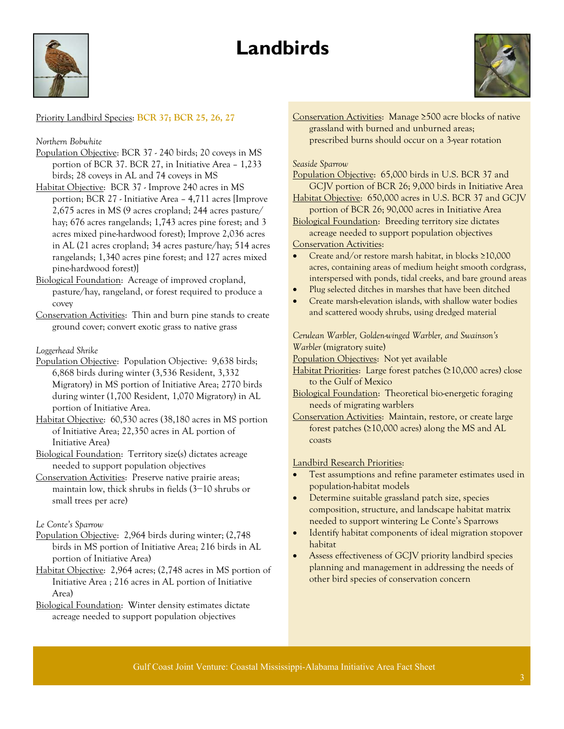# **Landbirds**





#### Priority Landbird Species: **[BCR 37;](http://www.gcjv.org/docs/Coastal_Prairies_BCR37_Landbird_Plan.pdf) [BCR 25, 26, 27](http://gcjv.org/docs/GCJV_BCR25_26_27_landbird_plan_Vers_1.doc)**

#### *Northern Bobwhite*

- Population Objective: BCR 37 240 birds; 20 coveys in MS portion of BCR 37. BCR 27, in Initiative Area – 1,233 birds; 28 coveys in AL and 74 coveys in MS
- Habitat Objective: BCR 37 Improve 240 acres in MS portion; BCR 27 - Initiative Area – 4,711 acres [Improve 2,675 acres in MS (9 acres cropland; 244 acres pasture/ hay; 676 acres rangelands; 1,743 acres pine forest; and 3 acres mixed pine-hardwood forest); Improve 2,036 acres in AL (21 acres cropland; 34 acres pasture/hay; 514 acres rangelands; 1,340 acres pine forest; and 127 acres mixed pine-hardwood forest)]
- Biological Foundation: Acreage of improved cropland, pasture/hay, rangeland, or forest required to produce a covey
- Conservation Activities: Thin and burn pine stands to create ground cover; convert exotic grass to native grass

#### *Loggerhead Shrike*

- Population Objective:Population Objective: 9,638 birds; 6,868 birds during winter (3,536 Resident, 3,332 Migratory) in MS portion of Initiative Area; 2770 birds during winter (1,700 Resident, 1,070 Migratory) in AL portion of Initiative Area.
- Habitat Objective:60,530 acres (38,180 acres in MS portion of Initiative Area; 22,350 acres in AL portion of Initiative Area)
- Biological Foundation: Territory size(s) dictates acreage needed to support population objectives
- Conservation Activities:Preserve native prairie areas; maintain low, thick shrubs in fields (3−10 shrubs or small trees per acre)

#### *Le Conte's Sparrow*

- Population Objective:2,964 birds during winter; (2,748 birds in MS portion of Initiative Area; 216 birds in AL portion of Initiative Area)
- Habitat Objective:2,964 acres; (2,748 acres in MS portion of Initiative Area ; 216 acres in AL portion of Initiative Area)
- Biological Foundation: Winter density estimates dictate acreage needed to support population objectives

Conservation Activities:Manage ≥500 acre blocks of native grassland with burned and unburned areas; prescribed burns should occur on a 3-year rotation

#### *Seaside Sparrow*

Population Objective:65,000 birds in U.S. BCR 37 and GCJV portion of BCR 26; 9,000 birds in Initiative Area

Habitat Objective:650,000 acres in U.S. BCR 37 and GCJV portion of BCR 26; 90,000 acres in Initiative Area

Biological Foundation: Breeding territory size dictates acreage needed to support population objectives

#### Conservation Activities:

- Create and/or restore marsh habitat, in blocks ≥10,000 acres, containing areas of medium height smooth cordgrass, interspersed with ponds, tidal creeks, and bare ground areas
- Plug selected ditches in marshes that have been ditched
- Create marsh-elevation islands, with shallow water bodies and scattered woody shrubs, using dredged material

*Cerulean Warbler, Golden-winged Warbler, and Swainson's Warbler* (migratory suite)

Population Objectives:Not yet available

- Habitat Priorities:Large forest patches (≥10,000 acres) close to the Gulf of Mexico
- Biological Foundation: Theoretical bio-energetic foraging needs of migrating warblers
- Conservation Activities:Maintain, restore, or create large forest patches (≥10,000 acres) along the MS and AL coasts

#### Landbird Research Priorities:

- Test assumptions and refine parameter estimates used in population-habitat models
- Determine suitable grassland patch size, species composition, structure, and landscape habitat matrix needed to support wintering Le Conte's Sparrows
- Identify habitat components of ideal migration stopover habitat
- Assess effectiveness of GCJV priority landbird species planning and management in addressing the needs of other bird species of conservation concern